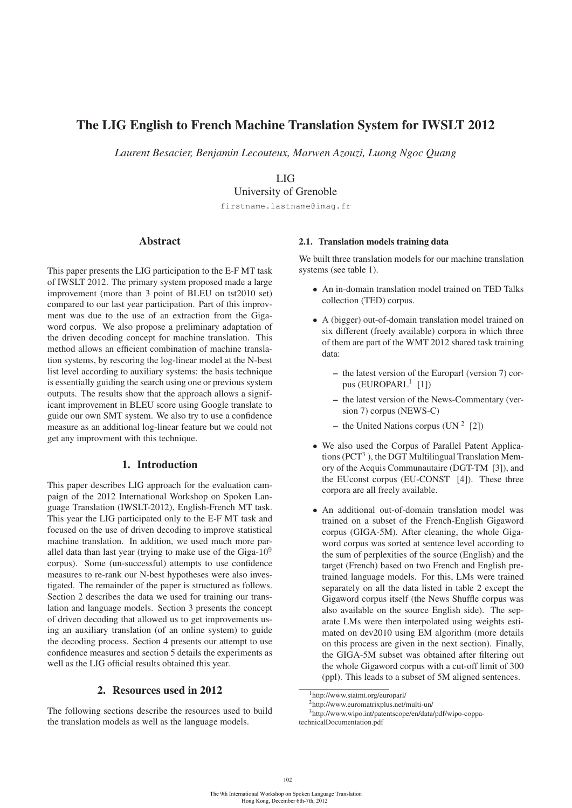# The LIG English to French Machine Translation System for IWSLT 2012

*Laurent Besacier, Benjamin Lecouteux, Marwen Azouzi, Luong Ngoc Quang*

LIG

University of Grenoble

firstname.lastname@imag.fr

## Abstract

This paper presents the LIG participation to the E-F MT task of IWSLT 2012. The primary system proposed made a large improvement (more than 3 point of BLEU on tst2010 set) compared to our last year participation. Part of this improvment was due to the use of an extraction from the Gigaword corpus. We also propose a preliminary adaptation of the driven decoding concept for machine translation. This method allows an efficient combination of machine translation systems, by rescoring the log-linear model at the N-best list level according to auxiliary systems: the basis technique is essentially guiding the search using one or previous system outputs. The results show that the approach allows a significant improvement in BLEU score using Google translate to guide our own SMT system. We also try to use a confidence measure as an additional log-linear feature but we could not get any improvment with this technique.

### 1. Introduction

This paper describes LIG approach for the evaluation campaign of the 2012 International Workshop on Spoken Language Translation (IWSLT-2012), English-French MT task. This year the LIG participated only to the E-F MT task and focused on the use of driven decoding to improve statistical machine translation. In addition, we used much more parallel data than last year (trying to make use of the Giga-10<sup>9</sup> corpus). Some (un-successful) attempts to use confidence measures to re-rank our N-best hypotheses were also investigated. The remainder of the paper is structured as follows. Section 2 describes the data we used for training our translation and language models. Section 3 presents the concept of driven decoding that allowed us to get improvements using an auxiliary translation (of an online system) to guide the decoding process. Section 4 presents our attempt to use confidence measures and section 5 details the experiments as well as the LIG official results obtained this year.

# 2. Resources used in 2012

The following sections describe the resources used to build the translation models as well as the language models.

### 2.1. Translation models training data

We built three translation models for our machine translation systems (see table 1).

- An in-domain translation model trained on TED Talks collection (TED) corpus.
- A (bigger) out-of-domain translation model trained on six different (freely available) corpora in which three of them are part of the WMT 2012 shared task training data:
	- the latest version of the Europarl (version 7) corpus (EUROPAR $L^1$  [1])
	- the latest version of the News-Commentary (version 7) corpus (NEWS-C)
	- the United Nations corpus (UN  $^2$  [2])
- We also used the Corpus of Parallel Patent Applications ( $PCT<sup>3</sup>$ ), the DGT Multilingual Translation Memory of the Acquis Communautaire (DGT-TM [3]), and the EUconst corpus (EU-CONST [4]). These three corpora are all freely available.
- An additional out-of-domain translation model was trained on a subset of the French-English Gigaword corpus (GIGA-5M). After cleaning, the whole Gigaword corpus was sorted at sentence level according to the sum of perplexities of the source (English) and the target (French) based on two French and English pretrained language models. For this, LMs were trained separately on all the data listed in table 2 except the Gigaword corpus itself (the News Shuffle corpus was also available on the source English side). The separate LMs were then interpolated using weights estimated on dev2010 using EM algorithm (more details on this process are given in the next section). Finally, the GIGA-5M subset was obtained after filtering out the whole Gigaword corpus with a cut-off limit of 300 (ppl). This leads to a subset of 5M aligned sentences.

<sup>1</sup>http://www.statmt.org/europarl/

<sup>2</sup>http://www.euromatrixplus.net/multi-un/

<sup>3</sup>http://www.wipo.int/patentscope/en/data/pdf/wipo-coppatechnicalDocumentation.pdf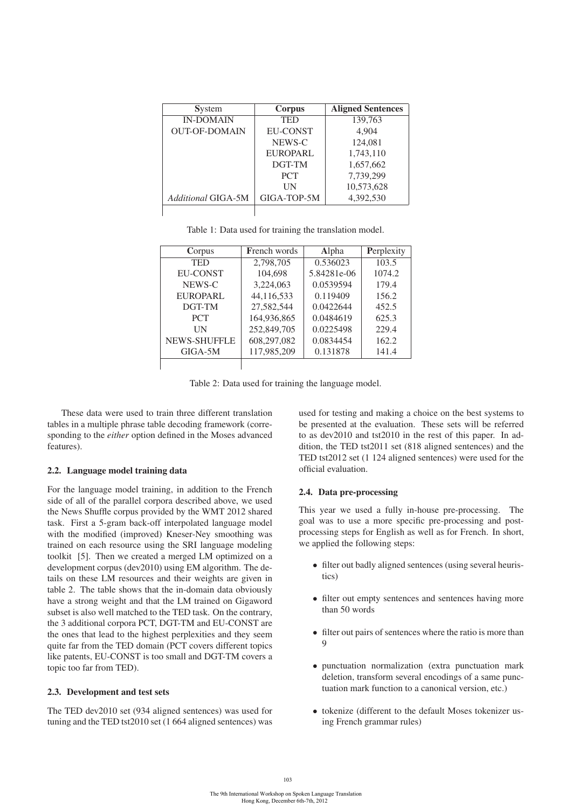| System                    | Corpus          | <b>Aligned Sentences</b> |  |  |
|---------------------------|-----------------|--------------------------|--|--|
| <b>IN-DOMAIN</b>          | <b>TED</b>      | 139,763                  |  |  |
| <b>OUT-OF-DOMAIN</b>      | <b>EU-CONST</b> | 4,904                    |  |  |
|                           | NEWS-C          | 124,081                  |  |  |
|                           | <b>EUROPARL</b> | 1,743,110                |  |  |
|                           | DGT-TM          | 1,657,662                |  |  |
|                           | <b>PCT</b>      | 7,739,299                |  |  |
|                           | UN              | 10,573,628               |  |  |
| <b>Additional GIGA-5M</b> | GIGA-TOP-5M     | 4,392,530                |  |  |
|                           |                 |                          |  |  |

Table 1: Data used for training the translation model.

| Corpus              | <b>French</b> words | Alpha       | Perplexity |  |
|---------------------|---------------------|-------------|------------|--|
| <b>TED</b>          | 2,798,705           | 0.536023    | 103.5      |  |
| <b>EU-CONST</b>     | 104,698             | 5.84281e-06 | 1074.2     |  |
| NEWS-C              | 3,224,063           | 0.0539594   | 179.4      |  |
| <b>EUROPARL</b>     | 44,116,533          | 0.119409    | 156.2      |  |
| DGT-TM              | 27,582,544          | 0.0422644   | 452.5      |  |
| <b>PCT</b>          | 164,936,865         | 0.0484619   | 625.3      |  |
| UN                  | 252,849,705         | 0.0225498   | 229.4      |  |
| <b>NEWS-SHUFFLE</b> | 608,297,082         | 0.0834454   | 162.2      |  |
| GIGA-5M             | 117,985,209         | 0.131878    | 141.4      |  |
|                     |                     |             |            |  |

Table 2: Data used for training the language model.

These data were used to train three different translation tables in a multiple phrase table decoding framework (corresponding to the *either* option defined in the Moses advanced features).

### 2.2. Language model training data

For the language model training, in addition to the French side of all of the parallel corpora described above, we used the News Shuffle corpus provided by the WMT 2012 shared task. First a 5-gram back-off interpolated language model with the modified (improved) Kneser-Ney smoothing was trained on each resource using the SRI language modeling toolkit [5]. Then we created a merged LM optimized on a development corpus (dev2010) using EM algorithm. The details on these LM resources and their weights are given in table 2. The table shows that the in-domain data obviously have a strong weight and that the LM trained on Gigaword subset is also well matched to the TED task. On the contrary, the 3 additional corpora PCT, DGT-TM and EU-CONST are the ones that lead to the highest perplexities and they seem quite far from the TED domain (PCT covers different topics like patents, EU-CONST is too small and DGT-TM covers a topic too far from TED).

### 2.3. Development and test sets

The TED dev2010 set (934 aligned sentences) was used for tuning and the TED tst2010 set (1 664 aligned sentences) was

used for testing and making a choice on the best systems to be presented at the evaluation. These sets will be referred to as dev2010 and tst2010 in the rest of this paper. In addition, the TED tst2011 set (818 aligned sentences) and the TED tst2012 set (1 124 aligned sentences) were used for the official evaluation.

# 2.4. Data pre-processing

This year we used a fully in-house pre-processing. The goal was to use a more specific pre-processing and postprocessing steps for English as well as for French. In short, we applied the following steps:

- filter out badly aligned sentences (using several heuristics)
- filter out empty sentences and sentences having more than 50 words
- filter out pairs of sentences where the ratio is more than 9
- punctuation normalization (extra punctuation mark deletion, transform several encodings of a same punctuation mark function to a canonical version, etc.)
- tokenize (different to the default Moses tokenizer using French grammar rules)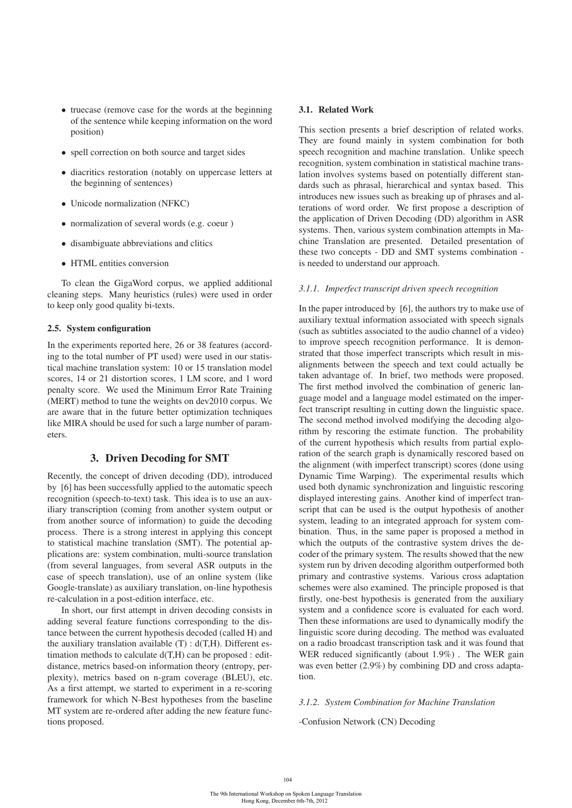- truecase (remove case for the words at the beginning of the sentence while keeping information on the word position)
- spell correction on both source and target sides
- diacritics restoration (notably on uppercase letters at the beginning of sentences)
- Unicode normalization (NFKC)
- normalization of several words (e.g. coeur )
- disambiguate abbreviations and clitics
- HTML entities conversion

To clean the GigaWord corpus, we applied additional cleaning steps. Many heuristics (rules) were used in order to keep only good quality bi-texts.

#### 2.5. System configuration

In the experiments reported here, 26 or 38 features (according to the total number of PT used) were used in our statistical machine translation system: 10 or 15 translation model scores, 14 or 21 distortion scores, 1 LM score, and 1 word penalty score. We used the Minimum Error Rate Training (MERT) method to tune the weights on dev2010 corpus. We are aware that in the future better optimization techniques like MIRA should be used for such a large number of parameters.

# 3. Driven Decoding for SMT

Recently, the concept of driven decoding (DD), introduced by [6] has been successfully applied to the automatic speech recognition (speech-to-text) task. This idea is to use an auxiliary transcription (coming from another system output or from another source of information) to guide the decoding process. There is a strong interest in applying this concept to statistical machine translation (SMT). The potential applications are: system combination, multi-source translation (from several languages, from several ASR outputs in the case of speech translation), use of an online system (like Google-translate) as auxiliary translation, on-line hypothesis re-calculation in a post-edition interface, etc.

In short, our first attempt in driven decoding consists in adding several feature functions corresponding to the distance between the current hypothesis decoded (called H) and the auxiliary translation available  $(T)$  :  $d(T,H)$ . Different estimation methods to calculate d(T,H) can be proposed : editdistance, metrics based-on information theory (entropy, perplexity), metrics based on n-gram coverage (BLEU), etc. As a first attempt, we started to experiment in a re-scoring framework for which N-Best hypotheses from the baseline MT system are re-ordered after adding the new feature functions proposed.

#### 3.1. Related Work

This section presents a brief description of related works. They are found mainly in system combination for both speech recognition and machine translation. Unlike speech recognition, system combination in statistical machine translation involves systems based on potentially different standards such as phrasal, hierarchical and syntax based. This introduces new issues such as breaking up of phrases and alterations of word order. We first propose a description of the application of Driven Decoding (DD) algorithm in ASR systems. Then, various system combination attempts in Machine Translation are presented. Detailed presentation of these two concepts - DD and SMT systems combination is needed to understand our approach.

### *3.1.1. Imperfect transcript driven speech recognition*

In the paper introduced by [6], the authors try to make use of auxiliary textual information associated with speech signals (such as subtitles associated to the audio channel of a video) to improve speech recognition performance. It is demonstrated that those imperfect transcripts which result in misalignments between the speech and text could actually be taken advantage of. In brief, two methods were proposed. The first method involved the combination of generic language model and a language model estimated on the imperfect transcript resulting in cutting down the linguistic space. The second method involved modifying the decoding algorithm by rescoring the estimate function. The probability of the current hypothesis which results from partial exploration of the search graph is dynamically rescored based on the alignment (with imperfect transcript) scores (done using Dynamic Time Warping). The experimental results which used both dynamic synchronization and linguistic rescoring displayed interesting gains. Another kind of imperfect transcript that can be used is the output hypothesis of another system, leading to an integrated approach for system combination. Thus, in the same paper is proposed a method in which the outputs of the contrastive system drives the decoder of the primary system. The results showed that the new system run by driven decoding algorithm outperformed both primary and contrastive systems. Various cross adaptation schemes were also examined. The principle proposed is that firstly, one-best hypothesis is generated from the auxiliary system and a confidence score is evaluated for each word. Then these informations are used to dynamically modify the linguistic score during decoding. The method was evaluated on a radio broadcast transcription task and it was found that WER reduced significantly (about 1.9%). The WER gain was even better (2.9%) by combining DD and cross adaptation.

#### *3.1.2. System Combination for Machine Translation*

-Confusion Network (CN) Decoding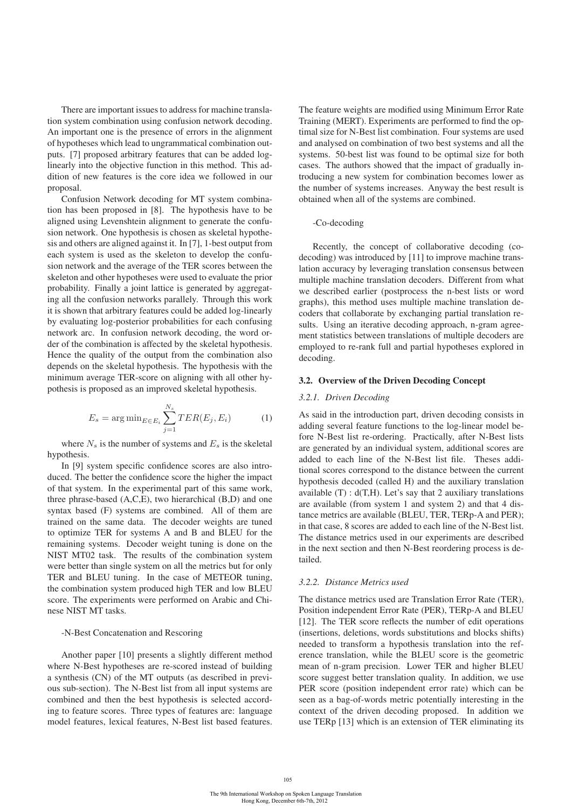There are important issues to address for machine translation system combination using confusion network decoding. An important one is the presence of errors in the alignment of hypotheses which lead to ungrammatical combination outputs. [7] proposed arbitrary features that can be added loglinearly into the objective function in this method. This addition of new features is the core idea we followed in our proposal.

Confusion Network decoding for MT system combination has been proposed in [8]. The hypothesis have to be aligned using Levenshtein alignment to generate the confusion network. One hypothesis is chosen as skeletal hypothesis and others are aligned against it. In [7], 1-best output from each system is used as the skeleton to develop the confusion network and the average of the TER scores between the skeleton and other hypotheses were used to evaluate the prior probability. Finally a joint lattice is generated by aggregating all the confusion networks parallely. Through this work it is shown that arbitrary features could be added log-linearly by evaluating log-posterior probabilities for each confusing network arc. In confusion network decoding, the word order of the combination is affected by the skeletal hypothesis. Hence the quality of the output from the combination also depends on the skeletal hypothesis. The hypothesis with the minimum average TER-score on aligning with all other hypothesis is proposed as an improved skeletal hypothesis.

$$
E_s = \arg\min_{E \in E_i} \sum_{j=1}^{N_s} TER(E_j, E_i)
$$
 (1)

where  $N_s$  is the number of systems and  $E_s$  is the skeletal hypothesis.

In [9] system specific confidence scores are also introduced. The better the confidence score the higher the impact of that system. In the experimental part of this same work, three phrase-based (A,C,E), two hierarchical (B,D) and one syntax based (F) systems are combined. All of them are trained on the same data. The decoder weights are tuned to optimize TER for systems A and B and BLEU for the remaining systems. Decoder weight tuning is done on the NIST MT02 task. The results of the combination system were better than single system on all the metrics but for only TER and BLEU tuning. In the case of METEOR tuning, the combination system produced high TER and low BLEU score. The experiments were performed on Arabic and Chinese NIST MT tasks.

#### -N-Best Concatenation and Rescoring

Another paper [10] presents a slightly different method where N-Best hypotheses are re-scored instead of building a synthesis (CN) of the MT outputs (as described in previous sub-section). The N-Best list from all input systems are combined and then the best hypothesis is selected according to feature scores. Three types of features are: language model features, lexical features, N-Best list based features. The feature weights are modified using Minimum Error Rate Training (MERT). Experiments are performed to find the optimal size for N-Best list combination. Four systems are used and analysed on combination of two best systems and all the systems. 50-best list was found to be optimal size for both cases. The authors showed that the impact of gradually introducing a new system for combination becomes lower as the number of systems increases. Anyway the best result is obtained when all of the systems are combined.

#### -Co-decoding

Recently, the concept of collaborative decoding (codecoding) was introduced by [11] to improve machine translation accuracy by leveraging translation consensus between multiple machine translation decoders. Different from what we described earlier (postprocess the n-best lists or word graphs), this method uses multiple machine translation decoders that collaborate by exchanging partial translation results. Using an iterative decoding approach, n-gram agreement statistics between translations of multiple decoders are employed to re-rank full and partial hypotheses explored in decoding.

### 3.2. Overview of the Driven Decoding Concept

#### *3.2.1. Driven Decoding*

As said in the introduction part, driven decoding consists in adding several feature functions to the log-linear model before N-Best list re-ordering. Practically, after N-Best lists are generated by an individual system, additional scores are added to each line of the N-Best list file. Theses additional scores correspond to the distance between the current hypothesis decoded (called H) and the auxiliary translation available  $(T)$ :  $d(T,H)$ . Let's say that 2 auxiliary translations are available (from system 1 and system 2) and that 4 distance metrics are available (BLEU, TER, TERp-A and PER); in that case, 8 scores are added to each line of the N-Best list. The distance metrics used in our experiments are described in the next section and then N-Best reordering process is detailed.

#### *3.2.2. Distance Metrics used*

The distance metrics used are Translation Error Rate (TER), Position independent Error Rate (PER), TERp-A and BLEU [12]. The TER score reflects the number of edit operations (insertions, deletions, words substitutions and blocks shifts) needed to transform a hypothesis translation into the reference translation, while the BLEU score is the geometric mean of n-gram precision. Lower TER and higher BLEU score suggest better translation quality. In addition, we use PER score (position independent error rate) which can be seen as a bag-of-words metric potentially interesting in the context of the driven decoding proposed. In addition we use TERp [13] which is an extension of TER eliminating its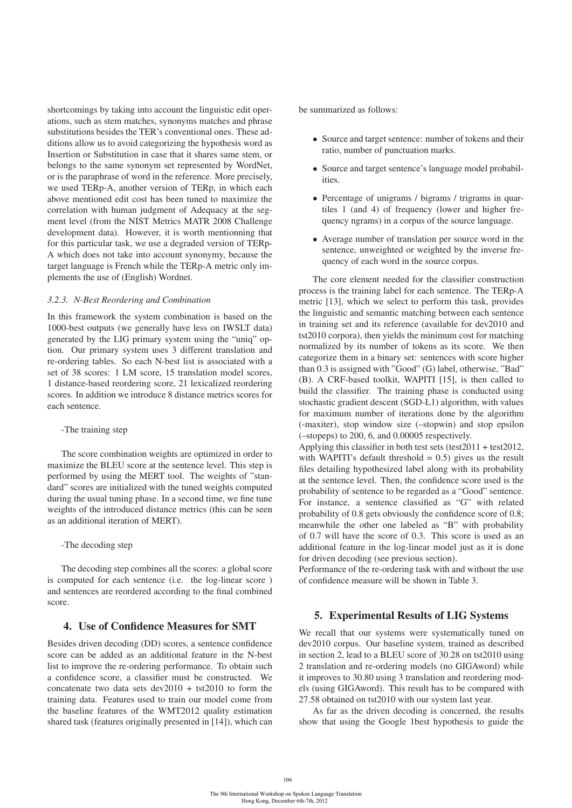shortcomings by taking into account the linguistic edit operations, such as stem matches, synonyms matches and phrase substitutions besides the TER's conventional ones. These additions allow us to avoid categorizing the hypothesis word as Insertion or Substitution in case that it shares same stem, or belongs to the same synonym set represented by WordNet, or is the paraphrase of word in the reference. More precisely, we used TERp-A, another version of TERp, in which each above mentioned edit cost has been tuned to maximize the correlation with human judgment of Adequacy at the segment level (from the NIST Metrics MATR 2008 Challenge development data). However, it is worth mentionning that for this particular task, we use a degraded version of TERp-A which does not take into account synonymy, because the target language is French while the TERp-A metric only implements the use of (English) Wordnet.

### *3.2.3. N-Best Reordering and Combination*

In this framework the system combination is based on the 1000-best outputs (we generally have less on IWSLT data) generated by the LIG primary system using the "uniq" option. Our primary system uses 3 different translation and re-ordering tables. So each N-best list is associated with a set of 38 scores: 1 LM score, 15 translation model scores, 1 distance-based reordering score, 21 lexicalized reordering scores. In addition we introduce 8 distance metrics scores for each sentence.

#### -The training step

The score combination weights are optimized in order to maximize the BLEU score at the sentence level. This step is performed by using the MERT tool. The weights of "standard" scores are initialized with the tuned weights computed during the usual tuning phase. In a second time, we fine tune weights of the introduced distance metrics (this can be seen as an additional iteration of MERT).

-The decoding step

The decoding step combines all the scores: a global score is computed for each sentence (i.e. the log-linear score ) and sentences are reordered according to the final combined score.

# 4. Use of Confidence Measures for SMT

Besides driven decoding (DD) scores, a sentence confidence score can be added as an additional feature in the N-best list to improve the re-ordering performance. To obtain such a confidence score, a classifier must be constructed. We concatenate two data sets  $dev2010 + tst2010$  to form the training data. Features used to train our model come from the baseline features of the WMT2012 quality estimation shared task (features originally presented in [14]), which can be summarized as follows:

- Source and target sentence: number of tokens and their ratio, number of punctuation marks.
- Source and target sentence's language model probabilities.
- Percentage of unigrams / bigrams / trigrams in quartiles 1 (and 4) of frequency (lower and higher frequency ngrams) in a corpus of the source language.
- Average number of translation per source word in the sentence, unweighted or weighted by the inverse frequency of each word in the source corpus.

The core element needed for the classifier construction process is the training label for each sentence. The TERp-A metric [13], which we select to perform this task, provides the linguistic and semantic matching between each sentence in training set and its reference (available for dev2010 and tst2010 corpora), then yields the minimum cost for matching normalized by its number of tokens as its score. We then categorize them in a binary set: sentences with score higher than 0.3 is assigned with "Good" (G) label, otherwise, "Bad" (B). A CRF-based toolkit, WAPITI [15], is then called to build the classifier. The training phase is conducted using stochastic gradient descent (SGD-L1) algorithm, with values for maximum number of iterations done by the algorithm (-maxiter), stop window size (–stopwin) and stop epsilon (–stopeps) to 200, 6, and 0.00005 respectively.

Applying this classifier in both test sets (test2011 + test2012, with WAPITI's default threshold  $= 0.5$ ) gives us the result files detailing hypothesized label along with its probability at the sentence level. Then, the confidence score used is the probability of sentence to be regarded as a "Good" sentence. For instance, a sentence classified as "G" with related probability of 0.8 gets obviously the confidence score of 0.8; meanwhile the other one labeled as "B" with probability of 0.7 will have the score of 0.3. This score is used as an additional feature in the log-linear model just as it is done for driven decoding (see previous section).

Performance of the re-ordering task with and without the use of confidence measure will be shown in Table 3.

## 5. Experimental Results of LIG Systems

We recall that our systems were systematically tuned on dev2010 corpus. Our baseline system, trained as described in section 2, lead to a BLEU score of 30.28 on tst2010 using 2 translation and re-ordering models (no GIGAword) while it improves to 30.80 using 3 translation and reordering models (using GIGAword). This result has to be compared with 27.58 obtained on tst2010 with our system last year.

As far as the driven decoding is concerned, the results show that using the Google 1best hypothesis to guide the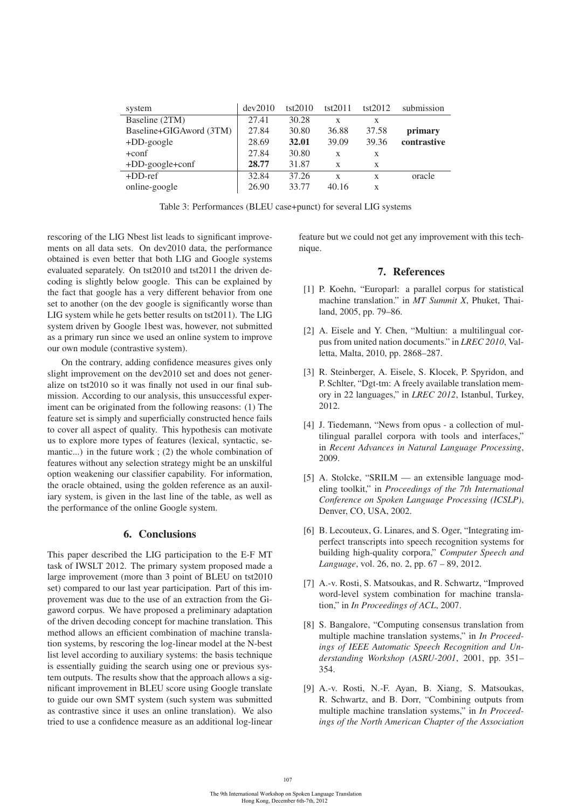| system                  | dev2010 | tst2010 | tst2011 | tst2012 | submission  |
|-------------------------|---------|---------|---------|---------|-------------|
| Baseline (2TM)          | 27.41   | 30.28   | X       | X       |             |
| Baseline+GIGAword (3TM) | 27.84   | 30.80   | 36.88   | 37.58   | primary     |
| $+DD$ -google           | 28.69   | 32.01   | 39.09   | 39.36   | contrastive |
| $+$ conf                | 27.84   | 30.80   | X       | X       |             |
| $+DD$ -google+conf      | 28.77   | 31.87   | X       | X       |             |
| $+DD-ref$               | 32.84   | 37.26   | X       | X       | oracle      |
| online-google           | 26.90   | 33.77   | 40.16   | X       |             |

Table 3: Performances (BLEU case+punct) for several LIG systems

rescoring of the LIG Nbest list leads to significant improvements on all data sets. On dev2010 data, the performance obtained is even better that both LIG and Google systems evaluated separately. On tst2010 and tst2011 the driven decoding is slightly below google. This can be explained by the fact that google has a very different behavior from one set to another (on the dev google is significantly worse than LIG system while he gets better results on tst2011). The LIG system driven by Google 1best was, however, not submitted as a primary run since we used an online system to improve our own module (contrastive system).

On the contrary, adding confidence measures gives only slight improvement on the dev2010 set and does not generalize on tst2010 so it was finally not used in our final submission. According to our analysis, this unsuccessful experiment can be originated from the following reasons: (1) The feature set is simply and superficially constructed hence fails to cover all aspect of quality. This hypothesis can motivate us to explore more types of features (lexical, syntactic, semantic...) in the future work ; (2) the whole combination of features without any selection strategy might be an unskilful option weakening our classifier capability. For information, the oracle obtained, using the golden reference as an auxiliary system, is given in the last line of the table, as well as the performance of the online Google system.

# 6. Conclusions

This paper described the LIG participation to the E-F MT task of IWSLT 2012. The primary system proposed made a large improvement (more than 3 point of BLEU on tst2010 set) compared to our last year participation. Part of this improvement was due to the use of an extraction from the Gigaword corpus. We have proposed a preliminary adaptation of the driven decoding concept for machine translation. This method allows an efficient combination of machine translation systems, by rescoring the log-linear model at the N-best list level according to auxiliary systems: the basis technique is essentially guiding the search using one or previous system outputs. The results show that the approach allows a significant improvement in BLEU score using Google translate to guide our own SMT system (such system was submitted as contrastive since it uses an online translation). We also tried to use a confidence measure as an additional log-linear

feature but we could not get any improvement with this technique.

### 7. References

- [1] P. Koehn, "Europarl: a parallel corpus for statistical machine translation." in *MT Summit X*, Phuket, Thailand, 2005, pp. 79–86.
- [2] A. Eisele and Y. Chen, "Multiun: a multilingual corpus from united nation documents." in *LREC 2010*, Valletta, Malta, 2010, pp. 2868–287.
- [3] R. Steinberger, A. Eisele, S. Klocek, P. Spyridon, and P. Schlter, "Dgt-tm: A freely available translation memory in 22 languages," in *LREC 2012*, Istanbul, Turkey, 2012.
- [4] J. Tiedemann, "News from opus a collection of multilingual parallel corpora with tools and interfaces," in *Recent Advances in Natural Language Processing*, 2009.
- [5] A. Stolcke, "SRILM an extensible language modeling toolkit," in *Proceedings of the 7th International Conference on Spoken Language Processing (ICSLP)*, Denver, CO, USA, 2002.
- [6] B. Lecouteux, G. Linares, and S. Oger, "Integrating imperfect transcripts into speech recognition systems for building high-quality corpora," *Computer Speech and Language*, vol. 26, no. 2, pp. 67 – 89, 2012.
- [7] A.-v. Rosti, S. Matsoukas, and R. Schwartz, "Improved word-level system combination for machine translation," in *In Proceedings of ACL*, 2007.
- [8] S. Bangalore, "Computing consensus translation from multiple machine translation systems," in *In Proceedings of IEEE Automatic Speech Recognition and Understanding Workshop (ASRU-2001*, 2001, pp. 351– 354.
- [9] A.-v. Rosti, N.-F. Ayan, B. Xiang, S. Matsoukas, R. Schwartz, and B. Dorr, "Combining outputs from multiple machine translation systems," in *In Proceedings of the North American Chapter of the Association*